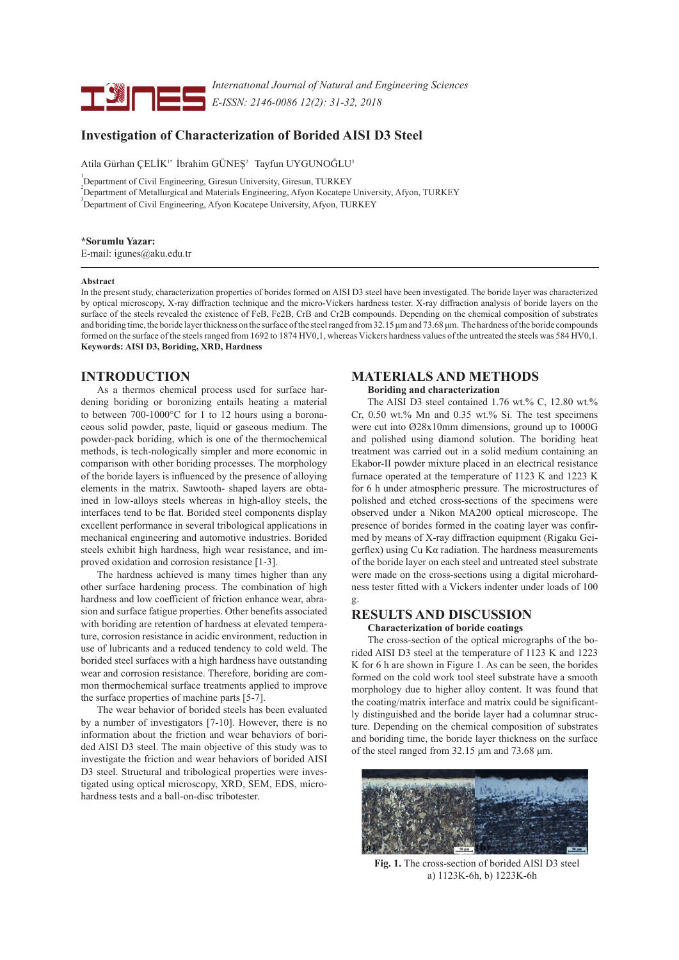

*Internatıonal Journal of Natural and Engineering Sciences*  **E-ISSN:** 2146-0086 12(2): 31-32, 2018

## **Investigation of Characterization of Borided AISI D3 Steel**

Atila Gürhan ÇELİK<sup>1\*</sup> İbrahim GÜNEŞ<sup>2</sup> Tayfun UYGUNOĞLU<sup>3</sup>

**Department of Civil Engineering, Giresun University, Giresun, TURKEY**  $^{2}$ Department of Metallurgical and Materials Engineering, Afyon Kocatepe University, Afyon, TURKEY

<sup>3</sup> Department of Civil Engineering, Afyon Kocatepe University, Afyon, TURKEY

### **\*Sorumlu Yazar:**

E-mail: igunes@aku.edu.tr

#### **Abstract**

In the present study, characterization properties of borides formed on AISI D3 steel have been investigated. The boride layer was characterized by optical microscopy, X-ray diffraction technique and the micro-Vickers hardness tester. X-ray diffraction analysis of boride layers on the surface of the steels revealed the existence of FeB, Fe2B, CrB and Cr2B compounds. Depending on the chemical composition of substrates and boriding time, the boride layer thickness on the surface of the steel ranged from 32.15 μm and 73.68 μm. The hardness of the boride compounds formed on the surface of the steels ranged from 1692 to 1874 HV0,1, whereas Vickers hardness values of the untreated the steels was 584 HV0,1. **Keywords: AISI D3, Boriding, XRD, Hardness**

## **INTRODUCTION**

As a thermos chemical process used for surface hardening boriding or boronizing entails heating a material to between 700-1000°C for 1 to 12 hours using a boronaceous solid powder, paste, liquid or gaseous medium. The powder-pack boriding, which is one of the thermochemical methods, is tech-nologically simpler and more economic in comparison with other boriding processes. The morphology of the boride layers is influenced by the presence of alloying elements in the matrix. Sawtooth- shaped layers are obtained in low-alloys steels whereas in high-alloy steels, the interfaces tend to be flat. Borided steel components display excellent performance in several tribological applications in mechanical engineering and automotive industries. Borided steels exhibit high hardness, high wear resistance, and improved oxidation and corrosion resistance [1-3].

The hardness achieved is many times higher than any other surface hardening process. The combination of high hardness and low coefficient of friction enhance wear, abrasion and surface fatigue properties. Other benefits associated with boriding are retention of hardness at elevated temperature, corrosion resistance in acidic environment, reduction in use of lubricants and a reduced tendency to cold weld. The borided steel surfaces with a high hardness have outstanding wear and corrosion resistance. Therefore, boriding are common thermochemical surface treatments applied to improve the surface properties of machine parts [5-7].

The wear behavior of borided steels has been evaluated by a number of investigators [7-10]. However, there is no information about the friction and wear behaviors of borided AISI D3 steel. The main objective of this study was to investigate the friction and wear behaviors of borided AISI D3 steel. Structural and tribological properties were investigated using optical microscopy, XRD, SEM, EDS, microhardness tests and a ball-on-disc tribotester.

# **MATERIALS AND METHODS**

**Boriding and characterization** 

The AISI D3 steel contained  $1.76$  wt.% C,  $12.80$  wt.% Cr, 0.50 wt.% Mn and 0.35 wt.% Si. The test specimens were cut into Ø28x10mm dimensions, ground up to 1000G and polished using diamond solution. The boriding heat treatment was carried out in a solid medium containing an Ekabor-II powder mixture placed in an electrical resistance furnace operated at the temperature of 1123 K and 1223 K for 6 h under atmospheric pressure. The microstructures of polished and etched cross-sections of the specimens were observed under a Nikon MA200 optical microscope. The presence of borides formed in the coating layer was confirmed by means of X-ray diffraction equipment (Rigaku Geigerflex) using Cu Kα radiation. The hardness measurements of the boride layer on each steel and untreated steel substrate were made on the cross-sections using a digital microhardness tester fitted with a Vickers indenter under loads of 100 g.

## **RESULTS AND DISCUSSION**

### **Characterization of boride coatings**

The cross-section of the optical micrographs of the borided AISI D3 steel at the temperature of 1123 K and 1223 K for 6 h are shown in Figure 1. As can be seen, the borides formed on the cold work tool steel substrate have a smooth morphology due to higher alloy content. It was found that the coating/matrix interface and matrix could be significantly distinguished and the boride layer had a columnar structure. Depending on the chemical composition of substrates and boriding time, the boride layer thickness on the surface of the steel ranged from 32.15 μm and 73.68 μm.



**Fig. 1.** The cross-section of borided AISI D3 steel a) 1123K-6h, b) 1223K-6h